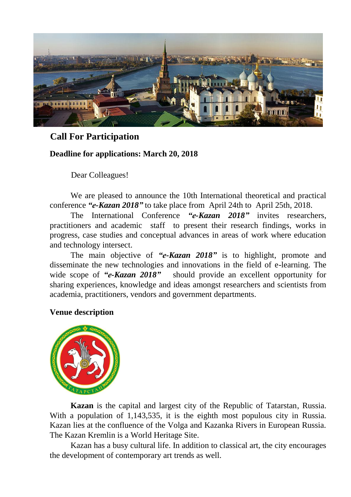

# **Call For Participation**

#### **Deadline for applications: March 20, 2018**

Dear Colleagues!

We are pleased to announce the 10th International theoretical and practical conference *"e-Kazan 2018"* to take place from April 24th to April 25th, 2018.

The International Conference *"e-Kazan 2018"* invites researchers, practitioners and academic staff to present their research findings, works in progress, case studies and conceptual advances in areas of work where education and technology intersect.

The main objective of *"e-Kazan 2018"* is to highlight, promote and disseminate the new technologies and innovations in the field of e-learning. The wide scope of "*e-Kazan 2018*" should provide an excellent opportunity for sharing experiences, knowledge and ideas amongst researchers and scientists from academia, practitioners, vendors and government departments.

#### **Venue description**



**Kazan** is the capital and largest city of the Republic of Tatarstan, Russia. With a population of 1,143,535, it is the eighth most populous city in Russia. Kazan lies at the confluence of the Volga and Kazanka Rivers in European Russia. The Kazan Kremlin is a World Heritage Site.

Kazan has a busy cultural life. In addition to classical art, the city encourages the development of contemporary art trends as well.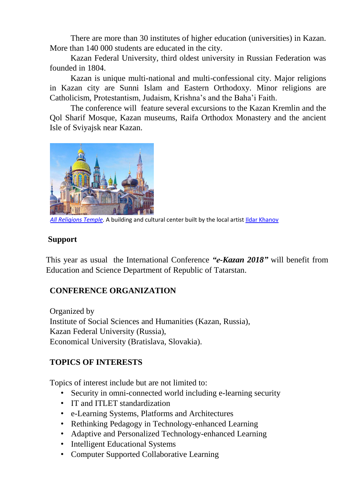There are more than 30 institutes of higher education (universities) in Kazan. More than 140 000 students are educated in the city.

Kazan Federal University, third oldest university in Russian Federation was founded in 1804.

Kazan is unique multi-national and multi-confessional city. Major religions in Kazan city are Sunni Islam and Eastern Orthodoxy. Minor religions are Catholicism, Protestantism, Judaism, Krishna's and the Baha'i Faith.

The conference will feature several excursions to the Kazan Kremlin and the Qol Sharif Mosque, Kazan museums, Raifa Orthodox Monastery and the ancient Isle of Sviyajsk near Kazan.



*[All Religions Temple](http://en.wikipedia.org/wiki/All_Religions_Temple)*[.](http://en.wikipedia.org/wiki/All_Religions_Temple) A building and cultural center built by the local artis[t Ildar Khanov](http://en.wikipedia.org/w/index.php?title=Ildar_Khanov_%28artist%29&action=edit&redlink=1)

## **Support**

This year as usual the International Conference *"e-Kazan 2018"* will benefit from Education and Science Department of Republic of Tatarstan.

# **CONFERENCE ORGANIZATION**

Organized by Institute of Social Sciences and Humanities (Kazan, Russia), Kazan Federal University (Russia), Economical University (Bratislava, Slovakia).

# **TOPICS OF INTERESTS**

Topics of interest include but are not limited to:

- Security in omni-connected world including e-learning security
- IT and ITLET standardization
- e-Learning Systems, Platforms and Architectures
- Rethinking Pedagogy in Technology-enhanced Learning
- Adaptive and Personalized Technology-enhanced Learning
- Intelligent Educational Systems
- Computer Supported Collaborative Learning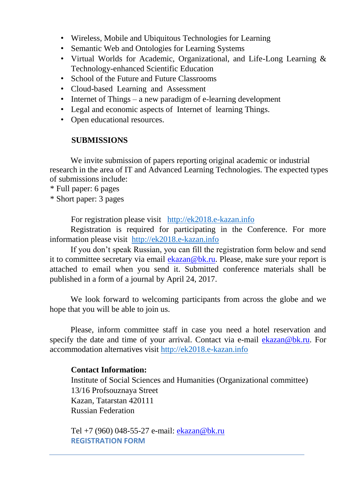- Wireless, Mobile and Ubiquitous Technologies for Learning
- Semantic Web and Ontologies for Learning Systems
- Virtual Worlds for Academic, Organizational, and Life-Long Learning & Technology-enhanced Scientific Education
- School of the Future and Future Classrooms
- Cloud-based Learning and Assessment
- Internet of Things a new paradigm of e-learning development
- Legal and economic aspects of Internet of learning Things.
- Open educational resources.

#### **SUBMISSIONS**

We invite submission of papers reporting original academic or industrial research in the area of IT and Advanced Learning Technologies. The expected types of submissions include:

\* Full paper: 6 pages

\* Short paper: 3 pages

For registration please visit [http://ek2018.e-kazan.info](http://ek2018.e-kazan.info/)

Registration is required for participating in the Conference. For more information please visit [http://ek2018.e-kazan.info](http://ek2018.e-kazan.info/)

If you don't speak Russian, you can fill the registration form below and send it to committee secretary via email ekazan@bk.ru. Please, make sure your report is attached to email when you send it. Submitted conference materials shall be published in a form of a journal by April 24, 2017.

We look forward to welcoming participants from across the globe and we hope that you will be able to join us.

Please, inform committee staff in case you need a hotel reservation and specify the date and time of your arrival. Contact via e-mail ekazan@bk.ru. For accommodation alternatives visit [http://ek2018.e-kazan.info](http://ek2018.e-kazan.info/)

## **Contact Information:**

Institute of Social Sciences and Humanities (Organizational committee) 13/16 Profsouznaya Street Kazan, Tatarstan 420111 Russian Federation

Tel +7 (960) 048-55-27 e-mail: ekazan@bk.ru **REGISTRATION FORM**